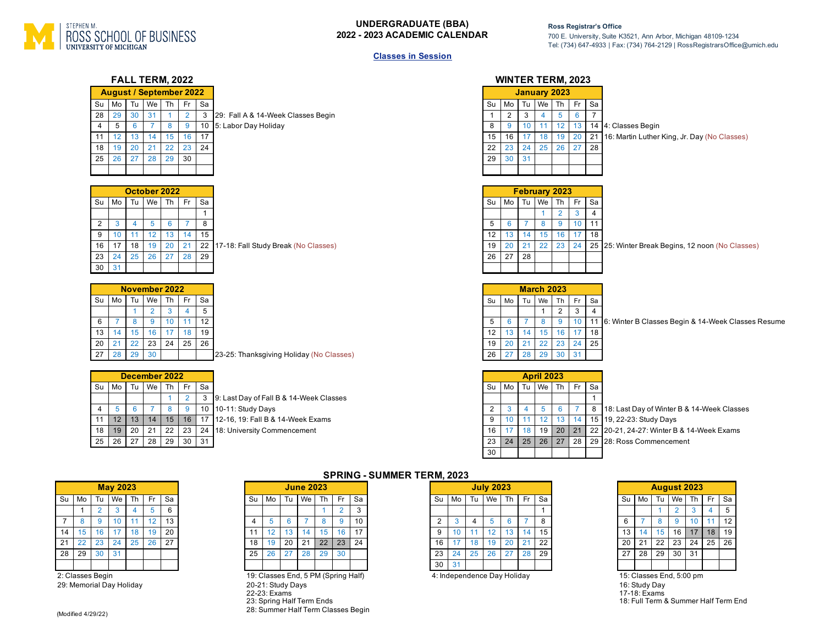

## **UNDERGRADUATE (BBA) 2022 - 2023 ACADEMIC CALENDAR**

18: Full Term & Summer Half Term End

## **Classes in Session**

| FALL TERM, 2022                                                                                                                                                                                                                                                                                                                                                                                                                                                                                                                                                                  | <b>WINTER TERM, 2023</b>                                                                                                                                                                                                                                                                                                                                                                                                                                                                                                                                                                   |
|----------------------------------------------------------------------------------------------------------------------------------------------------------------------------------------------------------------------------------------------------------------------------------------------------------------------------------------------------------------------------------------------------------------------------------------------------------------------------------------------------------------------------------------------------------------------------------|--------------------------------------------------------------------------------------------------------------------------------------------------------------------------------------------------------------------------------------------------------------------------------------------------------------------------------------------------------------------------------------------------------------------------------------------------------------------------------------------------------------------------------------------------------------------------------------------|
| <b>August / September 2022</b><br>We Th<br>Mo<br>Tu<br>Fr.<br>Sa<br>Su<br>28<br>29<br>30<br>31<br>$\overline{2}$<br>$\mathbf{3}$<br>$\blacktriangleleft$<br>29: Fall A & 14-Week Classes Begin<br>$5\overline{)}$<br>8<br>9<br>10 5: Labor Day Holiday<br>$\overline{4}$<br>$\overline{7}$<br>6<br>15<br>16<br>17<br>11<br>12<br>13<br>14                                                                                                                                                                                                                                        | <b>January 2023</b><br>Tu We Th<br>Fr Sa<br>Mo<br>Su<br>$\overline{2}$<br>$\overline{5}$<br>$6\overline{6}$<br>$\overline{7}$<br>3<br>$\overline{1}$<br>$\overline{4}$<br>9 <sup>°</sup><br>10 <sup>1</sup><br>12<br>13 14 4: Classes Begin<br>11<br>8<br>16<br>17<br>18<br>19<br>20<br>21<br>15<br>16: Martin Luther King, Jr. Day (No Classes)                                                                                                                                                                                                                                           |
| 18<br>19<br>21<br>22<br>23<br>24<br>20<br>25<br>26<br>27<br>28<br>29<br>30<br>October 2022                                                                                                                                                                                                                                                                                                                                                                                                                                                                                       | 22<br>23<br>24<br>25<br>27 <sup>1</sup><br>26<br>28<br>29<br>30<br>31<br>February 2023                                                                                                                                                                                                                                                                                                                                                                                                                                                                                                     |
| Su Mo<br>Tu We<br>$Th$ Fr<br>Sa<br>$\mathbf{1}$<br>8<br>$\overline{2}$<br>$\overline{5}$<br>6<br>3<br>4<br>7<br>10 <sup>°</sup><br>12<br>13 <sup>7</sup><br>14<br>15<br>9<br>11<br>20<br>21<br>22<br>16<br>17<br>18<br>19<br>17-18: Fall Study Break (No Classes)<br>23<br>26<br>27<br>28<br>24<br>25<br>29<br>30<br>31                                                                                                                                                                                                                                                          | Mo Tu We Th<br>$Fr$ Sa<br>Su<br>$\overline{2}$<br>$\overline{4}$<br>3<br>$6\phantom{a}$<br>8<br>9<br>$10 \quad 11$<br>5<br>$\overline{7}$<br>13 <sup>7</sup><br>14<br>15<br>16<br>17 <sup>1</sup><br>12<br>18<br>20<br>21<br>22<br>24<br>19<br>23<br>25 25: Winter Break Begins, 12 noon (No Classes)<br>26<br>27<br>28                                                                                                                                                                                                                                                                    |
| November 2022<br>We<br>Th<br>Fr<br>Sa<br>Su<br>Mo<br>Tu<br>$\,$ 5 $\,$<br>3<br>$\overline{2}$<br>4<br>12<br>10 <sup>°</sup><br>6<br>8<br>9<br>11<br>13<br>14<br>15<br>16<br>17 <sub>1</sub><br>18<br>19<br>20<br>21<br>23<br>24<br>25<br>26<br>22<br>27<br>28<br>29<br>30<br>23-25: Thanksgiving Holiday (No Classes)                                                                                                                                                                                                                                                            | <b>March 2023</b><br>We<br>Th<br>Fr<br>Mo<br>Tu<br>Sa<br>Su<br>$\mathbf{3}$<br>2<br>$\mathbf{1}$<br>$\overline{4}$<br>8<br>9<br>10   11 6: Winter B Classes Begin & 14-Week Classes Resume<br>$6\overline{6}$<br>5<br>$\overline{7}$<br>12<br>13<br>15<br>14<br>16<br>17 <sup>2</sup><br>18<br>20<br>24 25<br>21<br>22<br>23<br>19<br>29<br>31<br>26<br>27<br>28<br>30                                                                                                                                                                                                                     |
| December 2022<br>Sa<br>Mo  <br>Tu We<br>Th<br>Fr<br>Su<br>$\mathbf{1}$<br>$\overline{2}$<br>3 9: Last Day of Fall B & 14-Week Classes<br>$\overline{7}$<br>8<br>9<br>10 10-11: Study Days<br>$\overline{4}$<br>5<br>$6\phantom{1}$<br>15<br>11<br>12<br>13<br>14<br>16 17<br>12-16, 19: Fall B & 14-Week Exams<br>22<br>23<br>18<br>19<br>20<br>21<br>24<br>18: University Commencement<br>25<br>26<br>27<br>28<br>29<br>30<br>31                                                                                                                                                | <b>April 2023</b><br>Tu We Th<br>Mo<br>Fr Sa<br>Su I<br>$\overline{1}$<br>$\overline{2}$<br>$\mathbf{3}$<br>5 <sup>5</sup><br>6<br>$\overline{4}$<br>$\overline{7}$<br>8<br>18: Last Day of Winter B & 14-Week Classes<br>10 <sup>°</sup><br>12<br>9<br>11<br>13<br>14<br>15 19, 22-23: Study Days<br>17 <sup>17</sup><br>18<br>19<br>20<br>21<br>22 20-21, 24-27: Winter B & 14-Week Exams<br>16<br>24<br>25<br>$26$ 27<br>28<br>23<br>29 28: Ross Commencement<br>30                                                                                                                     |
| <b>SPRING - SUMMER TERM, 2023</b>                                                                                                                                                                                                                                                                                                                                                                                                                                                                                                                                                |                                                                                                                                                                                                                                                                                                                                                                                                                                                                                                                                                                                            |
| <b>May 2023</b><br><b>June 2023</b><br>Tu We<br>Fr<br>Sa<br>Mo<br>Tu We Th<br>Fr.<br>Sa<br>Su<br>Mo<br>Th<br>Su<br>$5\overline{)}$<br>$6\phantom{.0}$<br>$\overline{2}$<br>3<br>2 <sup>1</sup><br>$\mathbf{3}$<br>$\overline{4}$<br>$\mathbf{1}$<br>13<br>10<br>$\overline{7}$<br>9<br>10<br>11<br>12<br>9<br>8<br>$\sqrt{5}$<br>8<br>6<br>4<br>14<br>19<br>20<br>12<br>16<br>17<br>18<br>11<br>13<br>14<br>15<br>15<br>16<br>17<br>21<br>27<br>22<br>23<br>22<br>23<br>24<br>25<br>26<br>18<br>19<br>20<br>21<br>24<br>28<br>29<br>26<br>30<br>31<br>25<br>27<br>28<br>30<br>29 | <b>July 2023</b><br><b>August 2023</b><br>Mo<br>Tu We<br>Th<br>Fr<br>Sa<br>Su Mo<br>Tu We<br>Fr<br>Sa<br>Su<br>Th  <br>$\overline{5}$<br>$\mathbf{3}$<br>$\overline{2}$<br>$\overline{4}$<br>$\mathbf{1}$<br>$\mathbf{1}$<br>12<br>8<br>8<br>9<br>10<br>$\overline{2}$<br>6<br>6<br>11<br>3<br>4<br>5<br>13<br>16<br>9<br>10<br>11<br>12<br>14<br>15<br>13<br>14<br>15<br>17<br>18<br>19<br>20<br>22<br>23<br>16<br>17<br>18<br>19<br>20<br>21<br>22<br>21<br>24<br>25<br>26<br>27<br>28<br>27<br>29<br>23<br>24<br>25<br>26<br>29<br>28<br>30 <sup>°</sup><br>31<br>31<br>30 <sup>1</sup> |
| 19: Classes End, 5 PM (Spring Half)<br>2: Classes Begin                                                                                                                                                                                                                                                                                                                                                                                                                                                                                                                          | 4: Independence Day Holiday<br>15: Classes End, 5:00 pm                                                                                                                                                                                                                                                                                                                                                                                                                                                                                                                                    |

29: Memorial Day Holiday 20-21: Study Days 16: Study Day 22-23: Exams<br>23: Spring Half Term Ends 28: Summer Half Term Classes Begin

(Modified 4/29/22)